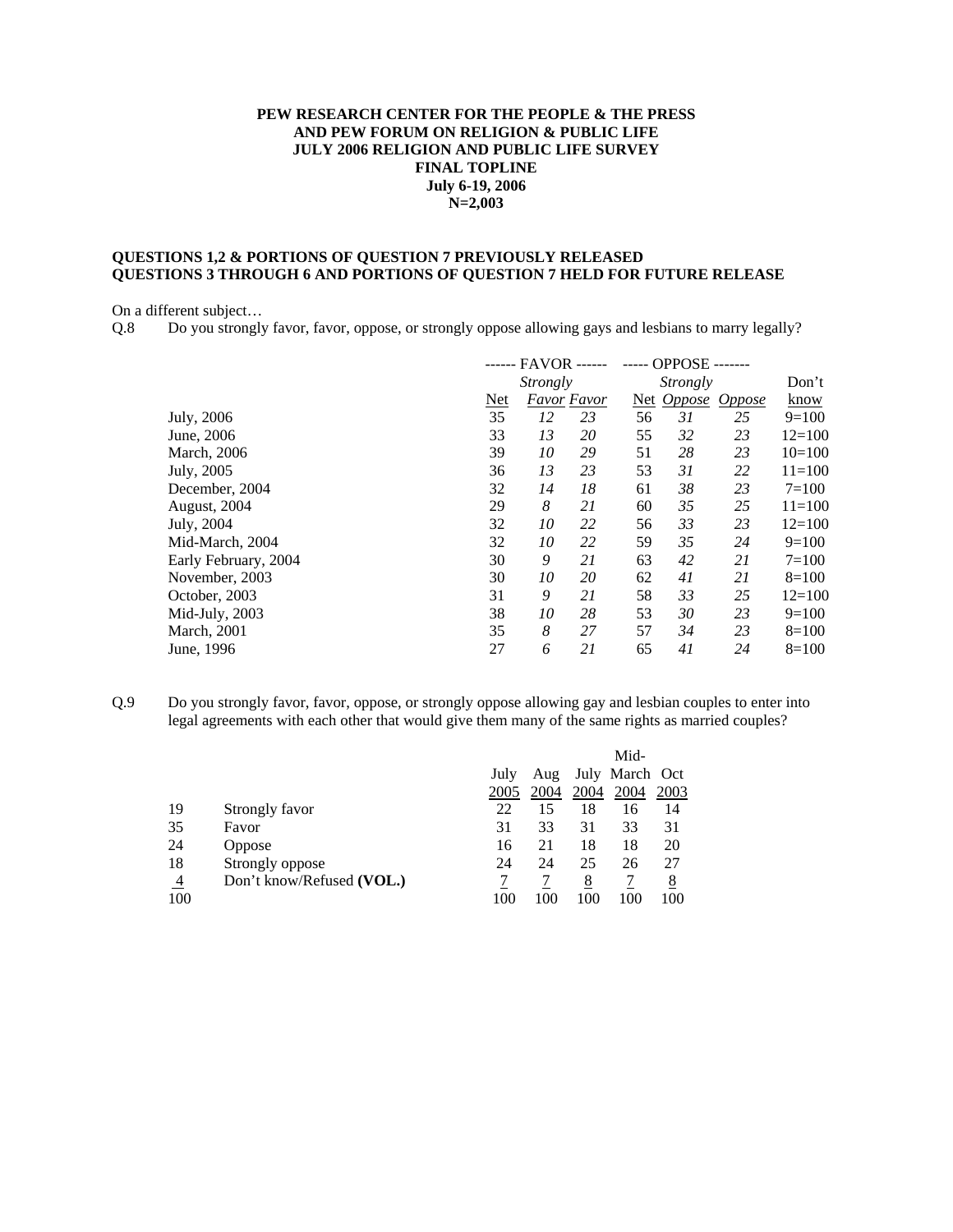## **PEW RESEARCH CENTER FOR THE PEOPLE & THE PRESS AND PEW FORUM ON RELIGION & PUBLIC LIFE JULY 2006 RELIGION AND PUBLIC LIFE SURVEY FINAL TOPLINE July 6-19, 2006 N=2,003**

# **QUESTIONS 1,2 & PORTIONS OF QUESTION 7 PREVIOUSLY RELEASED QUESTIONS 3 THROUGH 6 AND PORTIONS OF QUESTION 7 HELD FOR FUTURE RELEASE**

On a different subject…

Q.8 Do you strongly favor, favor, oppose, or strongly oppose allowing gays and lesbians to marry legally?

|                      |            | ------ FAVOR -- |                    |    | <b>OPPOSE</b> |               |            |
|----------------------|------------|-----------------|--------------------|----|---------------|---------------|------------|
|                      |            | Strongly        |                    |    | Strongly      |               | Don't      |
|                      | <b>Net</b> |                 | <b>Favor Favor</b> |    | Net Oppose    | <i>Oppose</i> | know       |
| July, 2006           | 35         | 12              | 23                 | 56 | 31            | 25            | $9=100$    |
| June, 2006           | 33         | 13              | 20                 | 55 | 32            | 23            | $12 = 100$ |
| March, 2006          | 39         | 10              | 29                 | 51 | 28            | 23            | $10=100$   |
| July, 2005           | 36         | 13              | 23                 | 53 | 31            | 22            | $11 = 100$ |
| December, 2004       | 32         | 14              | 18                 | 61 | 38            | 23            | $7=100$    |
| August, 2004         | 29         | 8               | 21                 | 60 | 35            | 25            | $11=100$   |
| July, 2004           | 32         | 10              | 22                 | 56 | 33            | 23            | $12 = 100$ |
| Mid-March, 2004      | 32         | 10              | 22                 | 59 | 35            | 24            | $9=100$    |
| Early February, 2004 | 30         | 9               | 21                 | 63 | 42            | 21            | $7=100$    |
| November, 2003       | 30         | 10              | 20                 | 62 | 41            | 21            | $8=100$    |
| October, 2003        | 31         | 9               | 21                 | 58 | 33            | 25            | $12 = 100$ |
| Mid-July, 2003       | 38         | 10              | 28                 | 53 | 30            | 23            | $9=100$    |
| <b>March</b> , 2001  | 35         | 8               | 27                 | 57 | 34            | 23            | $8=100$    |
| June, 1996           | 27         | 6               | 21                 | 65 | 41            | 24            | $8=100$    |
|                      |            |                 |                    |    |               |               |            |

Q.9 Do you strongly favor, favor, oppose, or strongly oppose allowing gay and lesbian couples to enter into legal agreements with each other that would give them many of the same rights as married couples?

|                       |                           | July<br>2005 | Aug<br>2004 | 2004            | Mid-<br>July March Oct<br>2004 | 2003     |
|-----------------------|---------------------------|--------------|-------------|-----------------|--------------------------------|----------|
| 19                    | Strongly favor            | 22           | 15          | 18              | 16                             | 14       |
| 35                    | Favor                     | 31           | 33          | 31              | 33                             | 31       |
| 24                    | Oppose                    | 16           | 21          | 18              | 18                             | 20       |
| 18                    | Strongly oppose           | 24           | 24          | 25              | 26                             | 27       |
| $\overline{4}$<br>100 | Don't know/Refused (VOL.) | 100          | 100         | <u>8</u><br>100 | 100                            | 8<br>100 |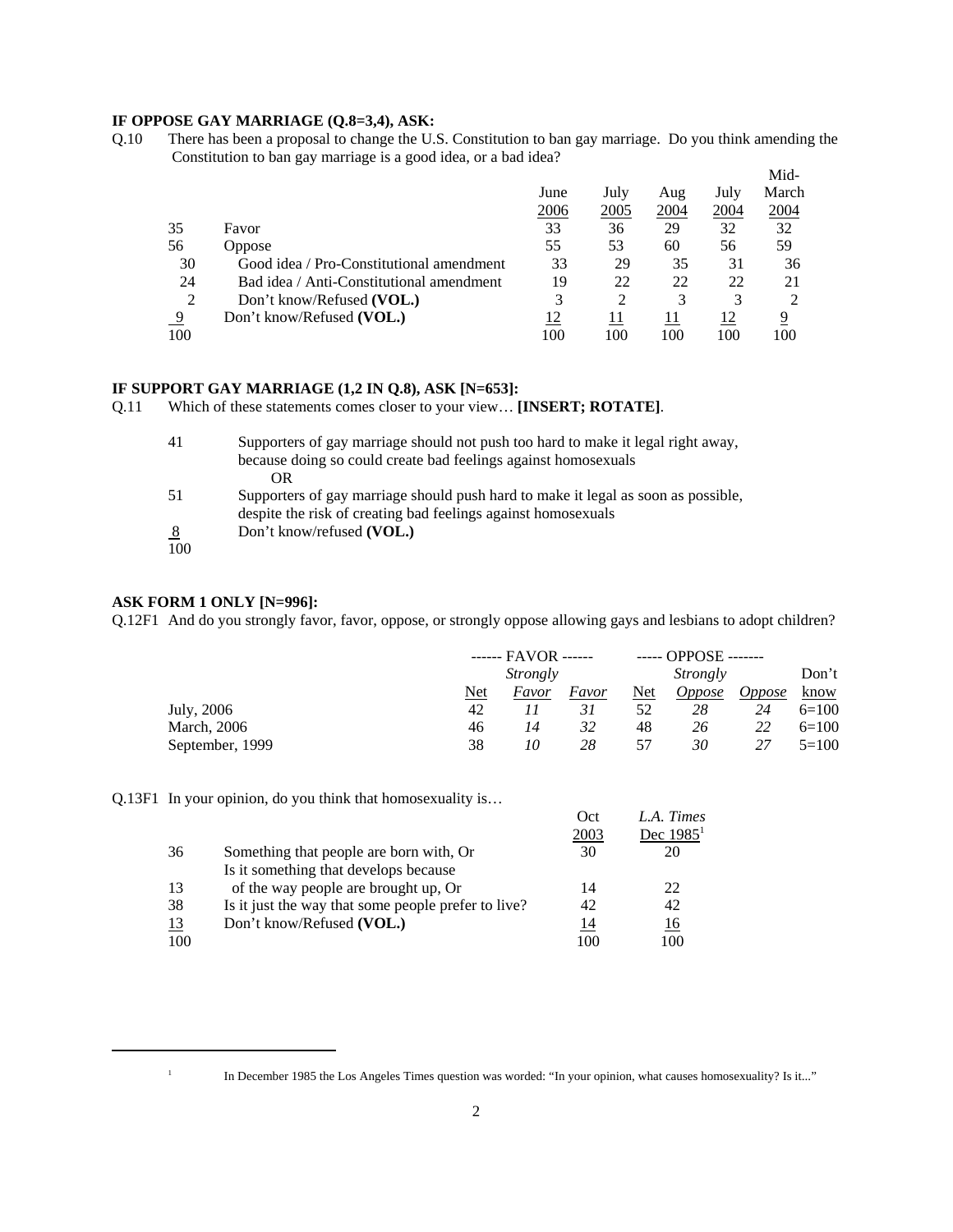## **IF OPPOSE GAY MARRIAGE (Q.8=3,4), ASK:**

Q.10 There has been a proposal to change the U.S. Constitution to ban gay marriage. Do you think amending the Constitution to ban gay marriage is a good idea, or a bad idea? Mid-

|                                          |      |      |      |      | M <sub>1</sub> d- |
|------------------------------------------|------|------|------|------|-------------------|
|                                          | June | July | Aug  | July | March             |
|                                          | 2006 | 2005 | 2004 | 2004 | 2004              |
| Favor                                    | 33   | 36   | 29   | 32   | 32                |
| <b>Oppose</b>                            | 55   | 53   | 60   | 56   | 59                |
| Good idea / Pro-Constitutional amendment | 33   | 29   | 35   | 31   | 36                |
| Bad idea / Anti-Constitutional amendment | 19   | 22   | 22   | 22   | 21                |
| Don't know/Refused (VOL.)                | 3    | 2    | 3    |      |                   |
| Don't know/Refused (VOL.)                | 12   | 11   | 11   | 12   | 9                 |
|                                          | 100  | 100  | 100  | 100  | 100               |
|                                          |      |      |      |      |                   |

#### **IF SUPPORT GAY MARRIAGE (1,2 IN Q.8), ASK [N=653]:**

Q.11 Which of these statements comes closer to your view… **[INSERT; ROTATE]**.

| 41  | Supporters of gay marriage should not push too hard to make it legal right away,  |
|-----|-----------------------------------------------------------------------------------|
|     | because doing so could create bad feelings against homosexuals                    |
|     | OR                                                                                |
| 51  | Supporters of gay marriage should push hard to make it legal as soon as possible, |
|     | despite the risk of creating bad feelings against homosexuals                     |
| 8   | Don't know/refused (VOL.)                                                         |
| 100 |                                                                                   |

#### **ASK FORM 1 ONLY [N=996]:**

Q.12F1 And do you strongly favor, favor, oppose, or strongly oppose allowing gays and lesbians to adopt children?

|                 |     | $---$ FAVOR $---$ |       |            | $---$ OPPOSE $---$ |               |         |  |
|-----------------|-----|-------------------|-------|------------|--------------------|---------------|---------|--|
|                 |     | Strongly          |       | Strongly   |                    |               | Don't   |  |
|                 | Net | Favor             | Favor | <b>Net</b> | <i>Oppose</i>      | <i>Oppose</i> | know    |  |
| July, 2006      | 42  |                   | 31    | 52         | 28                 | 24            | $6=100$ |  |
| March, 2006     | 46  | 14                | 32    | 48         | 26                 | 22            | $6=100$ |  |
| September, 1999 | 38  | 10                | 28    | 57         | 30                 | 27            | $5=100$ |  |

Q.13F1 In your opinion, do you think that homosexuality is…

|     |                                                     | Oct<br>2003 | L.A. Times<br>Dec $19851$ |
|-----|-----------------------------------------------------|-------------|---------------------------|
| 36  | Something that people are born with, Or             | 30          | 20                        |
|     | Is it something that develops because               |             |                           |
| 13  | of the way people are brought up, Or                | 14          | 22                        |
| 38  | Is it just the way that some people prefer to live? | 42          | 42                        |
| 13  | Don't know/Refused (VOL.)                           | 14          | 16                        |
| 100 |                                                     | 100         | 100                       |

<sup>&</sup>lt;sup>1</sup> In December 1985 the Los Angeles Times question was worded: "In your opinion, what causes homosexuality? Is it..."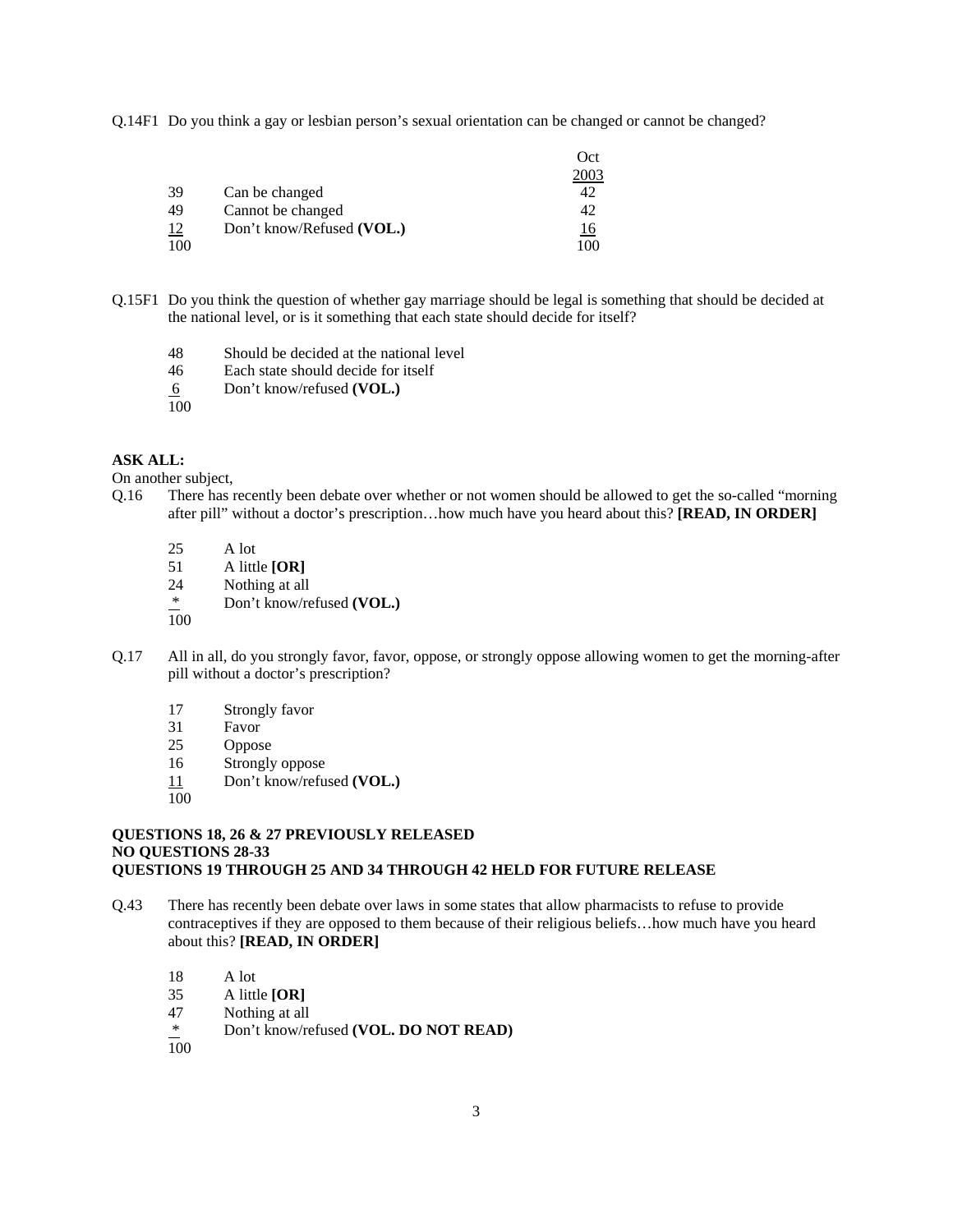Q.14F1 Do you think a gay or lesbian person's sexual orientation can be changed or cannot be changed?

|           |                           | Oct  |
|-----------|---------------------------|------|
|           |                           | 2003 |
| 39        | Can be changed            |      |
| 49        | Cannot be changed         | 42   |
| <u>12</u> | Don't know/Refused (VOL.) | 16   |
| 100       |                           | 10C  |

- Q.15F1 Do you think the question of whether gay marriage should be legal is something that should be decided at the national level, or is it something that each state should decide for itself?
	- 48 Should be decided at the national level
	- 46 Each state should decide for itself
	- 6 Don't know/refused **(VOL.)**
	- 100

#### **ASK ALL:**

On another subject,

- Q.16 There has recently been debate over whether or not women should be allowed to get the so-called "morning after pill" without a doctor's prescription…how much have you heard about this? **[READ, IN ORDER]**
	- 25 A lot<br>51 A littl
	- 51 A little **[OR]**
	- 24 Nothing at all<br> $*$  Don't know/re
	- Don't know/refused (VOL.)
	- 100
- Q.17 All in all, do you strongly favor, favor, oppose, or strongly oppose allowing women to get the morning-after pill without a doctor's prescription?
	- 17 Strongly favor
	- 31 Favor
	- 25 Oppose
	- 16 Strongly oppose
	- 11 Don't know/refused **(VOL.)**
	- 100

### **QUESTIONS 18, 26 & 27 PREVIOUSLY RELEASED NO QUESTIONS 28-33 QUESTIONS 19 THROUGH 25 AND 34 THROUGH 42 HELD FOR FUTURE RELEASE**

- Q.43 There has recently been debate over laws in some states that allow pharmacists to refuse to provide contraceptives if they are opposed to them because of their religious beliefs…how much have you heard about this? **[READ, IN ORDER]** 
	- 18 A lot
	- 35 A little **[OR]**
	- 47 Nothing at all
	- \* Don't know/refused **(VOL. DO NOT READ)**
	- 100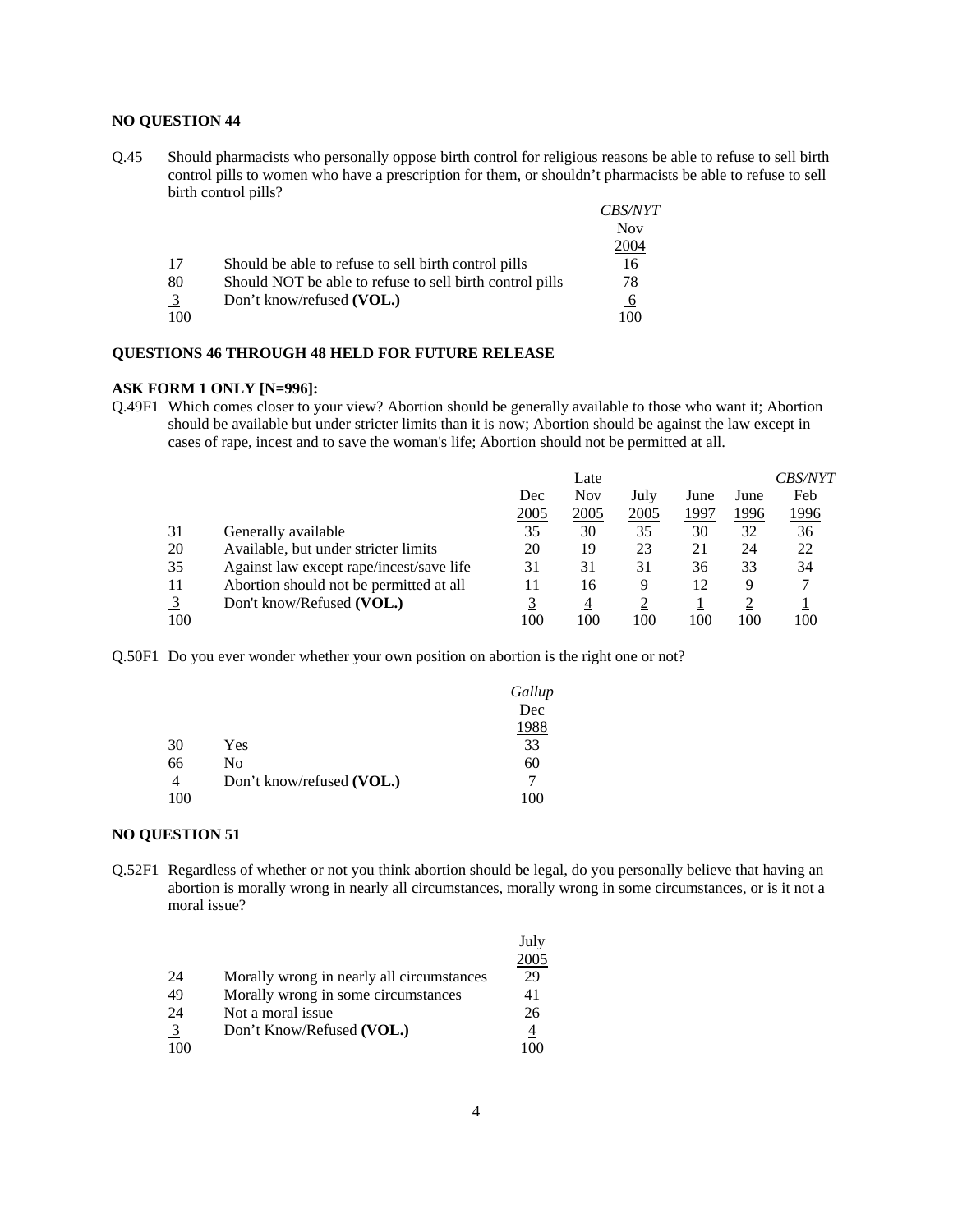## **NO QUESTION 44**

Q.45 Should pharmacists who personally oppose birth control for religious reasons be able to refuse to sell birth control pills to women who have a prescription for them, or shouldn't pharmacists be able to refuse to sell birth control pills?

|                |                                                          | <i>CBS/NYT</i><br><b>Nov</b> |
|----------------|----------------------------------------------------------|------------------------------|
|                |                                                          | 2004                         |
| 17             | Should be able to refuse to sell birth control pills     | 16                           |
| 80             | Should NOT be able to refuse to sell birth control pills | 78                           |
| $\overline{3}$ | Don't know/refused (VOL.)                                | $\overline{6}$               |
| 100            |                                                          | 100                          |

#### **QUESTIONS 46 THROUGH 48 HELD FOR FUTURE RELEASE**

#### **ASK FORM 1 ONLY [N=996]:**

Q.49F1 Which comes closer to your view? Abortion should be generally available to those who want it; Abortion should be available but under stricter limits than it is now; Abortion should be against the law except in cases of rape, incest and to save the woman's life; Abortion should not be permitted at all.

|     |                                          |      | Late       |      |      |      | <i>CBS/NYT</i> |
|-----|------------------------------------------|------|------------|------|------|------|----------------|
|     |                                          | Dec  | <b>Nov</b> | July | June | June | Feb            |
|     |                                          | 2005 | 2005       | 2005 | 1997 | 1996 | 1996           |
| 31  | Generally available                      | 35   | 30         | 35   | 30   | 32   | 36             |
| 20  | Available, but under stricter limits     | 20   | 19         | 23   | 21   | 24   | 22             |
| 35  | Against law except rape/incest/save life | 31   | 31         | 31   | 36   | 33   | 34             |
| 11  | Abortion should not be permitted at all  |      | 16         | 9    | 12   | 9    |                |
|     | Don't know/Refused (VOL.)                |      | 4          |      |      |      |                |
| 100 |                                          | 100  | 100        | 100  | 100  | 100  | 100            |

Q.50F1 Do you ever wonder whether your own position on abortion is the right one or not?

|                |                           | Gallup |
|----------------|---------------------------|--------|
|                |                           | Dec    |
|                |                           | 1988   |
| 30             | Yes                       | 33     |
| 66             | No                        | 60     |
| $\overline{4}$ | Don't know/refused (VOL.) |        |
| 100            |                           |        |

#### **NO QUESTION 51**

Q.52F1 Regardless of whether or not you think abortion should be legal, do you personally believe that having an abortion is morally wrong in nearly all circumstances, morally wrong in some circumstances, or is it not a moral issue?

|                |                                           | July |
|----------------|-------------------------------------------|------|
|                |                                           | 2005 |
| 24             | Morally wrong in nearly all circumstances | 29   |
| 49             | Morally wrong in some circumstances       | 41   |
| 24             | Not a moral issue                         | 26   |
| $\overline{3}$ | Don't Know/Refused (VOL.)                 | 4    |
| 100            |                                           |      |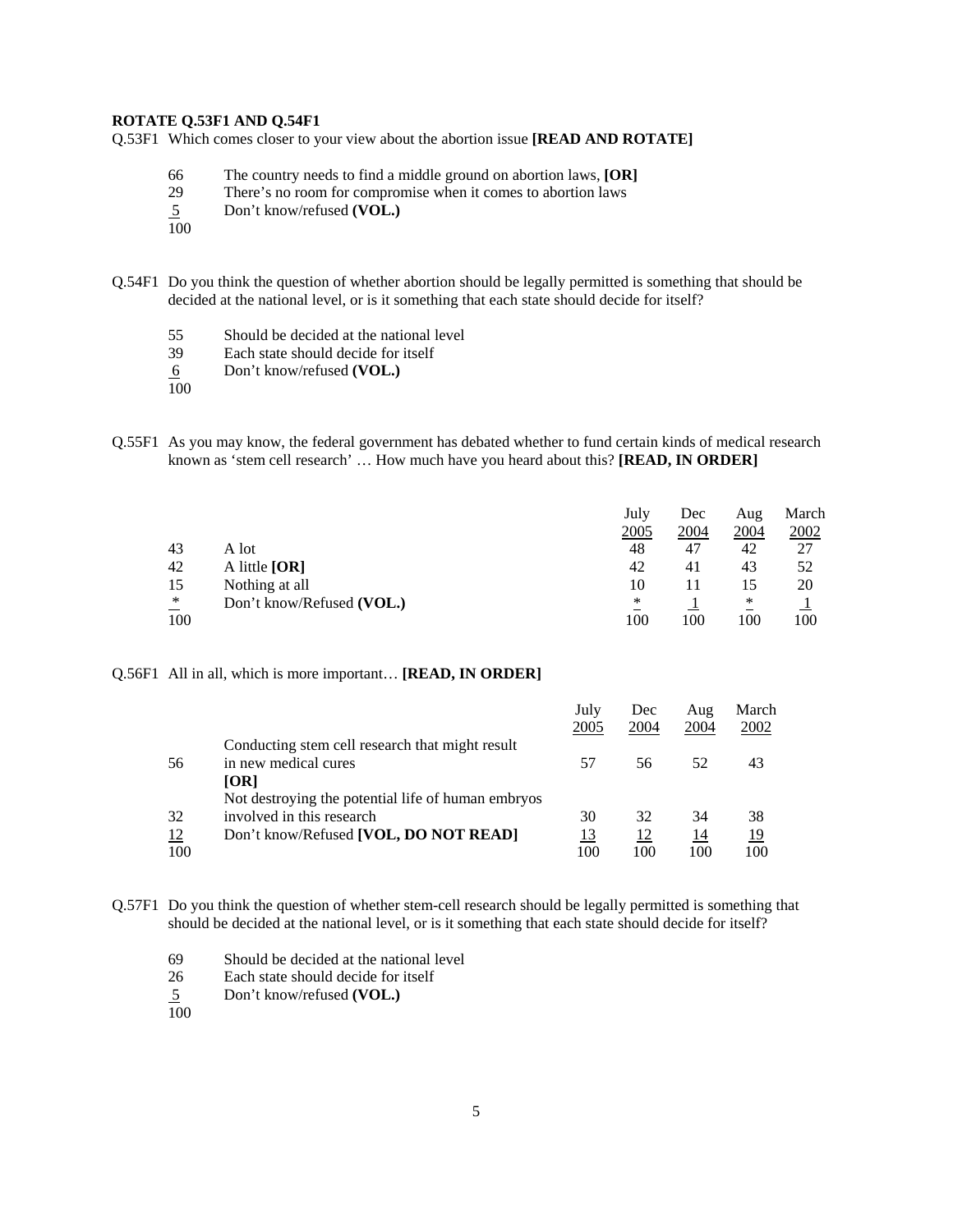#### **ROTATE Q.53F1 AND Q.54F1**

Q.53F1 Which comes closer to your view about the abortion issue **[READ AND ROTATE]** 

- 66 The country needs to find a middle ground on abortion laws, **[OR]**
- 29 There's no room for compromise when it comes to abortion laws
- 5 Don't know/refused **(VOL.)**
- 100
- Q.54F1 Do you think the question of whether abortion should be legally permitted is something that should be decided at the national level, or is it something that each state should decide for itself?
	- 55 Should be decided at the national level<br>39 Each state should decide for itself
	- Each state should decide for itself
	- 6 Don't know/refused **(VOL.)**
	- 100
- Q.55F1 As you may know, the federal government has debated whether to fund certain kinds of medical research known as 'stem cell research' … How much have you heard about this? **[READ, IN ORDER]**

|                                    |                           | July | Dec  | Aug  | March |
|------------------------------------|---------------------------|------|------|------|-------|
|                                    |                           | 2005 | 2004 | 2004 | 2002  |
| 43                                 | A lot                     | 48   | 47   | 42   | 27    |
| 42                                 | A little $[OR]$           | 42   | 41   | 43   | 52    |
| 15                                 | Nothing at all            | 10   |      | 15   | 20    |
| $\ast$<br>$\overline{\phantom{0}}$ | Don't know/Refused (VOL.) | *    |      | ∗    |       |
| 100                                |                           | 100  | 100  | 100  | 100   |

Q.56F1 All in all, which is more important… **[READ, IN ORDER]** 

|     |                                                    | July<br>2005 | Dec<br>2004 | Aug<br>2004 | March<br>2002 |
|-----|----------------------------------------------------|--------------|-------------|-------------|---------------|
|     | Conducting stem cell research that might result    |              |             |             |               |
| 56  | in new medical cures                               | 57           | 56          | 52          | 43            |
|     | <b>[OR]</b>                                        |              |             |             |               |
|     | Not destroying the potential life of human embryos |              |             |             |               |
| 32  | involved in this research                          | 30           | 32          | 34          | 38            |
| 12  | Don't know/Refused [VOL, DO NOT READ]              | 13           | 12          | 14          | <u>19</u>     |
| 100 |                                                    | 100          | 100         | 100         | 100           |

Q.57F1 Do you think the question of whether stem-cell research should be legally permitted is something that should be decided at the national level, or is it something that each state should decide for itself?

- 69 Should be decided at the national level
- 26 Each state should decide for itself
- 5 Don't know/refused **(VOL.)**  $rac{5}{100}$
-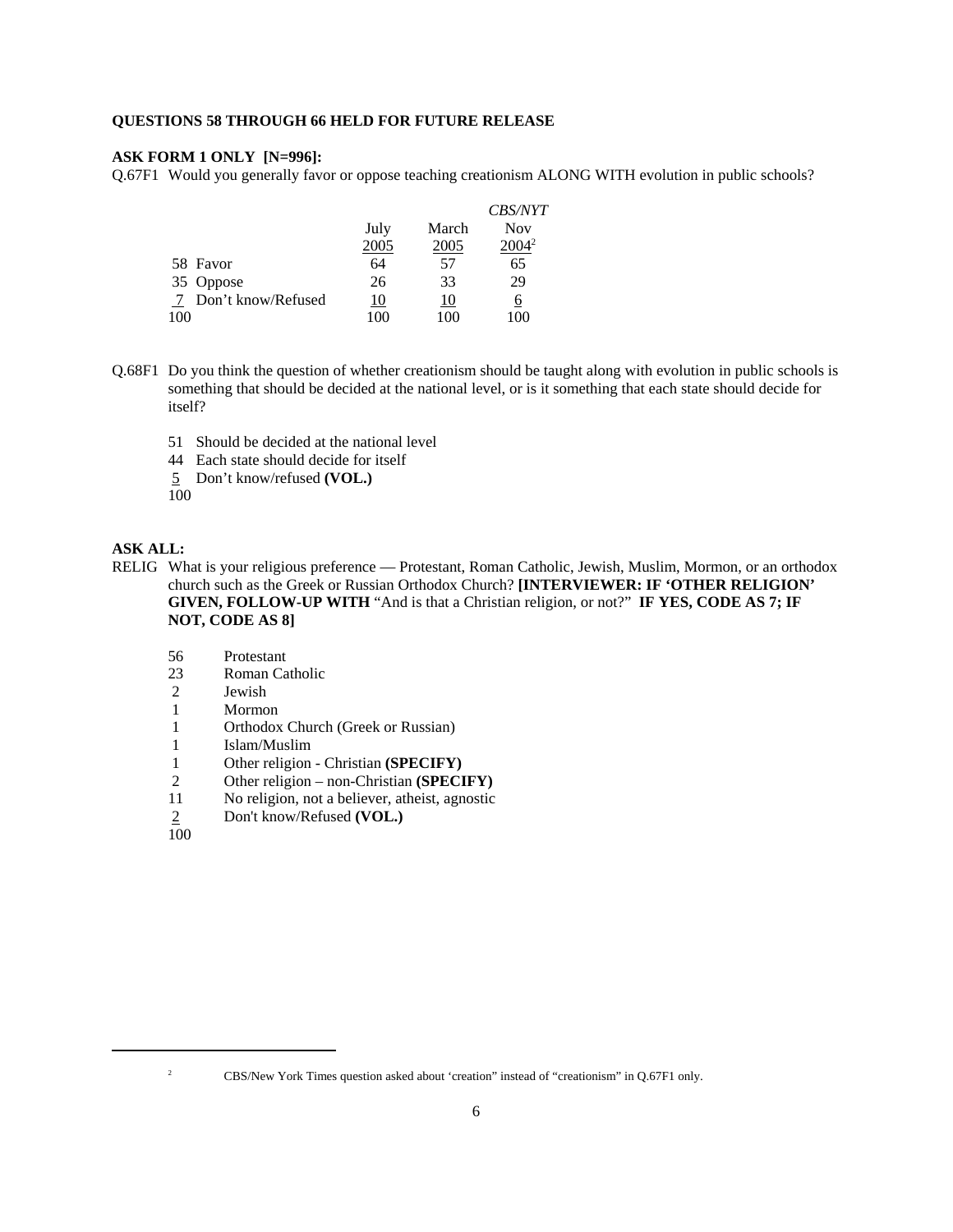#### **QUESTIONS 58 THROUGH 66 HELD FOR FUTURE RELEASE**

## **ASK FORM 1 ONLY [N=996]:**

Q.67F1 Would you generally favor or oppose teaching creationism ALONG WITH evolution in public schools?

|     |                    |      |         | <i>CBS/NYT</i> |
|-----|--------------------|------|---------|----------------|
|     |                    | July | March   | <b>Nov</b>     |
|     |                    | 2005 | 2005    | $2004^2$       |
|     | 58 Favor           | 64   | 57      | 65             |
|     | 35 Oppose          | 26   | 33      | 29             |
| -7  | Don't know/Refused | 10   | 10      | 6              |
| 100 |                    | 100  | $100 -$ | (0)            |

- Q.68F1 Do you think the question of whether creationism should be taught along with evolution in public schools is something that should be decided at the national level, or is it something that each state should decide for itself?
	- 51 Should be decided at the national level
	- 44 Each state should decide for itself
	- 5 Don't know/refused **(VOL.)**

100

## **ASK ALL:**

- RELIG What is your religious preference Protestant, Roman Catholic, Jewish, Muslim, Mormon, or an orthodox church such as the Greek or Russian Orthodox Church? **[INTERVIEWER: IF 'OTHER RELIGION' GIVEN, FOLLOW-UP WITH** "And is that a Christian religion, or not?" **IF YES, CODE AS 7; IF NOT, CODE AS 8]**
	- 56 Protestant
	- 23 Roman Catholic
	- 2 Jewish
	- 1 Mormon
	- 1 Orthodox Church (Greek or Russian)
	- 1 Islam/Muslim
	- 1 Other religion Christian **(SPECIFY)**
	- 2 Other religion non-Christian **(SPECIFY)**<br>11 No religion, not a believer, atheist, agnostic
	- 11 No religion, not a believer, atheist, agnostic<br>
	2 Don't know/Refused (VOL.)
	- 2 Don't know/Refused **(VOL.)**
	- 100

<sup>&</sup>lt;sup>2</sup> CBS/New York Times question asked about 'creation' instead of "creationism" in Q.67F1 only.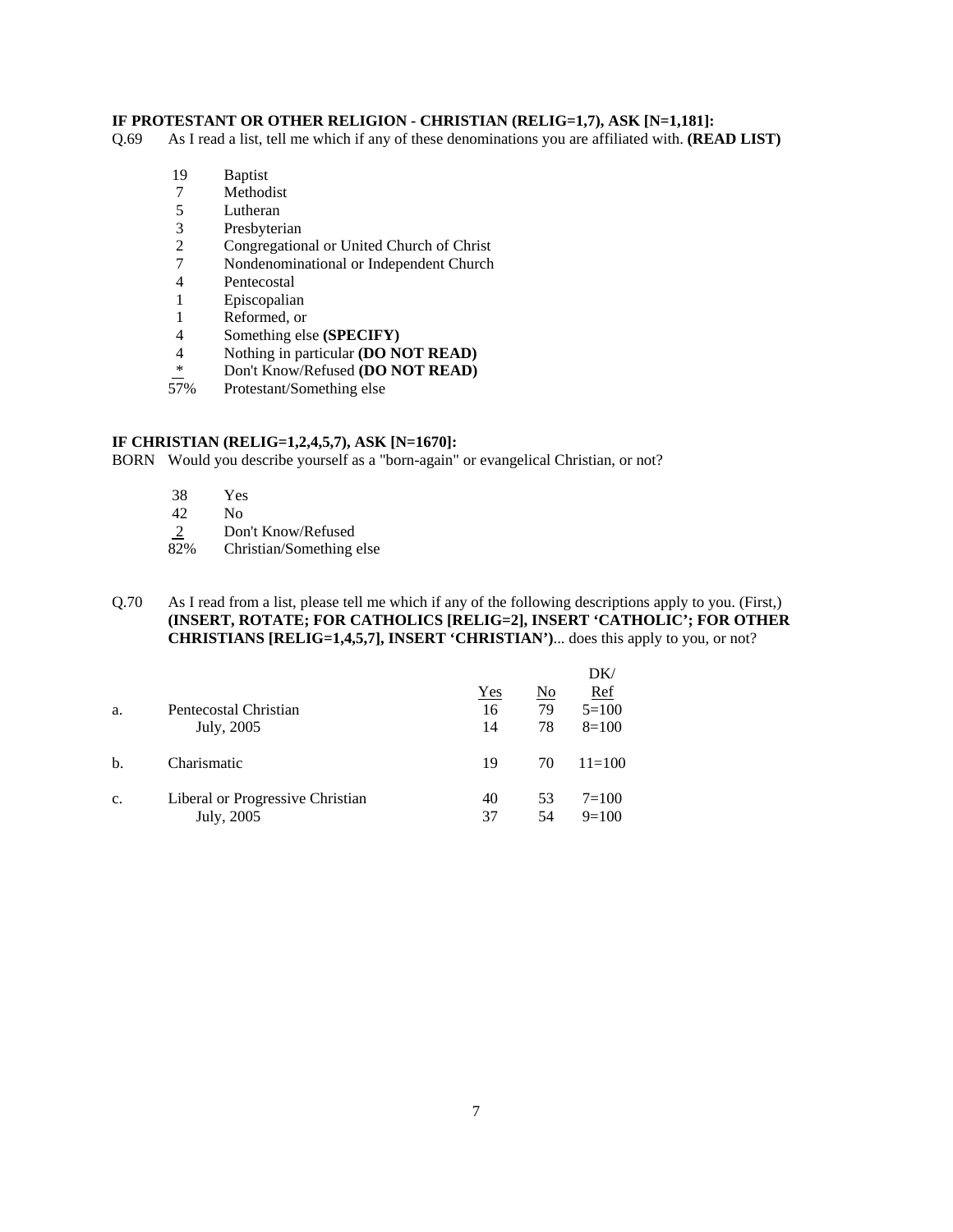## **IF PROTESTANT OR OTHER RELIGION - CHRISTIAN (RELIG=1,7), ASK [N=1,181]:**

Q.69 As I read a list, tell me which if any of these denominations you are affiliated with. **(READ LIST)**

- 19 Baptist
- 7 Methodist
- 5 Lutheran
- 3 Presbyterian<br>2 Congregation
- 2 Congregational or United Church of Christ
- 7 Nondenominational or Independent Church
- 4 Pentecostal<br>1 Episcopalian
- **Episcopalian**
- 
- 1 Reformed, or<br>4 Something els 4 Something else **(SPECIFY)**<br>4 Nothing in particular **(DO N**)
- 4 Nothing in particular **(DO NOT READ)**<br>
\* Don't *Know* Patriced **(DO NOT BEAD)**
- <sup>\*</sup> Don't Know/Refused **(DO NOT READ)**<br>57% Protestant/Something else
- Protestant/Something else

## **IF CHRISTIAN (RELIG=1,2,4,5,7), ASK [N=1670]:**

BORN Would you describe yourself as a "born-again" or evangelical Christian, or not?

- 38 Yes
- $\begin{array}{cc} 42 & \text{No} \\ 2 & \text{Don} \end{array}$
- $\frac{2}{82\%}$  Don't Know/Refused<br>Christian/Something
- Christian/Something else

## Q.70 As I read from a list, please tell me which if any of the following descriptions apply to you. (First,) **(INSERT, ROTATE; FOR CATHOLICS [RELIG=2], INSERT 'CATHOLIC'; FOR OTHER CHRISTIANS [RELIG=1,4,5,7], INSERT 'CHRISTIAN')**... does this apply to you, or not?

|    |                                  |     |    | DK/        |
|----|----------------------------------|-----|----|------------|
|    |                                  | Yes | No | <u>Ref</u> |
| a. | Pentecostal Christian            | 16  | 79 | $5=100$    |
|    | July, 2005                       | 14  | 78 | $8=100$    |
| b. | Charismatic                      | 19  | 70 | $11 = 100$ |
| c. | Liberal or Progressive Christian | 40  | 53 | $7 = 100$  |
|    | July, 2005                       | 37  | 54 | $9=100$    |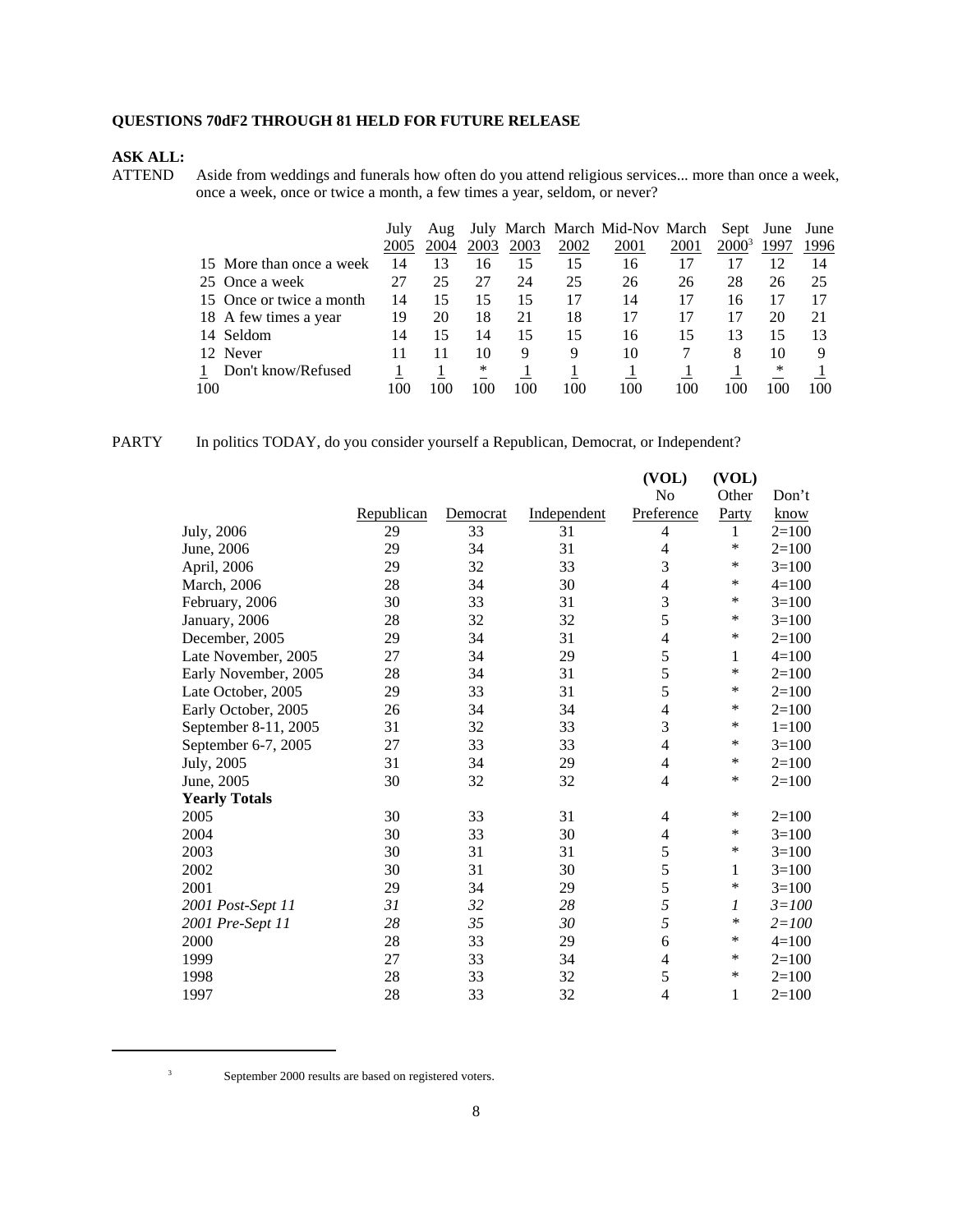# **QUESTIONS 70dF2 THROUGH 81 HELD FOR FUTURE RELEASE**

# **ASK ALL:**

Aside from weddings and funerals how often do you attend religious services... more than once a week, once a week, once or twice a month, a few times a year, seldom, or never?

|     |                          | July | Aug  |      |      |      | July March March Mid-Nov March |      | Sept June |      | June |
|-----|--------------------------|------|------|------|------|------|--------------------------------|------|-----------|------|------|
|     |                          | 2005 | 2004 | 2003 | 2003 | 2002 | 2001                           | 2001 | $2000^3$  | 1997 | 1996 |
|     | 15 More than once a week | 14   | 13   | 16   | 15   | 15   | 16                             | 17   |           | 12   | 14   |
|     | 25 Once a week           | 27   | 25   | 27   | 24   | 25   | 26                             | 26   | 28        | 26   | 25   |
|     | 15 Once or twice a month | 14   | 15   | 15   | 15   | 17   | 14                             | 17   | 16        |      |      |
|     | 18 A few times a year    | 19   | 20   | 18   | 21   | 18   | 17                             | 17   |           | 20   |      |
|     | 14 Seldom                | 14   | 15   | 14   | 15   | 15   | 16                             | 15   | 13        | 15   | 13   |
|     | 12 Never                 | 11   |      | 10   | 9    | 9    | 10                             |      | 8         | 10   |      |
|     | Don't know/Refused       |      |      | *    |      |      |                                |      |           | ∗    |      |
| 100 |                          | 100  | 100  | 100  | 100  | 100  | 100                            | 100  | 100       | 100  | 100  |

| PARTY |  |  |  | In politics TODAY, do you consider vourself a Republican, Democrat, or Independent? |
|-------|--|--|--|-------------------------------------------------------------------------------------|
|-------|--|--|--|-------------------------------------------------------------------------------------|

|                      |            |          |             | (VOL)                    | (VOL)  |           |
|----------------------|------------|----------|-------------|--------------------------|--------|-----------|
|                      |            |          |             | No                       | Other  | Don't     |
|                      | Republican | Democrat | Independent | Preference               | Party  | know      |
| July, 2006           | 29         | 33       | 31          | 4                        | 1      | $2=100$   |
| June, 2006           | 29         | 34       | 31          | 4                        | *      | $2=100$   |
| April, 2006          | 29         | 32       | 33          | 3                        | *      | $3=100$   |
| March, 2006          | 28         | 34       | 30          | $\overline{\mathcal{L}}$ | *      | $4 = 100$ |
| February, 2006       | 30         | 33       | 31          | 3                        | *      | $3=100$   |
| January, 2006        | 28         | 32       | 32          | 5                        | $\ast$ | $3=100$   |
| December, 2005       | 29         | 34       | 31          | 4                        | *      | $2=100$   |
| Late November, 2005  | 27         | 34       | 29          | 5                        | 1      | $4 = 100$ |
| Early November, 2005 | 28         | 34       | 31          | 5                        | *      | $2=100$   |
| Late October, 2005   | 29         | 33       | 31          | 5                        | *      | $2=100$   |
| Early October, 2005  | 26         | 34       | 34          | 4                        | *      | $2=100$   |
| September 8-11, 2005 | 31         | 32       | 33          | 3                        | *      | $1 = 100$ |
| September 6-7, 2005  | 27         | 33       | 33          | $\overline{4}$           | ∗      | $3=100$   |
| July, 2005           | 31         | 34       | 29          | 4                        | $\ast$ | $2 = 100$ |
| June, 2005           | 30         | 32       | 32          | 4                        | *      | $2=100$   |
| <b>Yearly Totals</b> |            |          |             |                          |        |           |
| 2005                 | 30         | 33       | 31          | 4                        | $\ast$ | $2=100$   |
| 2004                 | 30         | 33       | 30          | 4                        | *      | $3=100$   |
| 2003                 | 30         | 31       | 31          | 5                        | *      | $3=100$   |
| 2002                 | 30         | 31       | 30          | 5                        | 1      | $3=100$   |
| 2001                 | 29         | 34       | 29          | 5                        | *      | $3=100$   |
| 2001 Post-Sept 11    | 31         | 32       | 28          | 5                        | 1      | $3 = 100$ |
| 2001 Pre-Sept 11     | 28         | 35       | 30          | 5                        | ∗      | $2 = 100$ |
| 2000                 | 28         | 33       | 29          | 6                        | *      | $4 = 100$ |
| 1999                 | 27         | 33       | 34          | 4                        | *      | $2 = 100$ |
| 1998                 | 28         | 33       | 32          | 5                        | $\ast$ | $2 = 100$ |
| 1997                 | 28         | 33       | 32          | 4                        | 1      | $2=100$   |
|                      |            |          |             |                          |        |           |

<sup>3</sup> September 2000 results are based on registered voters.